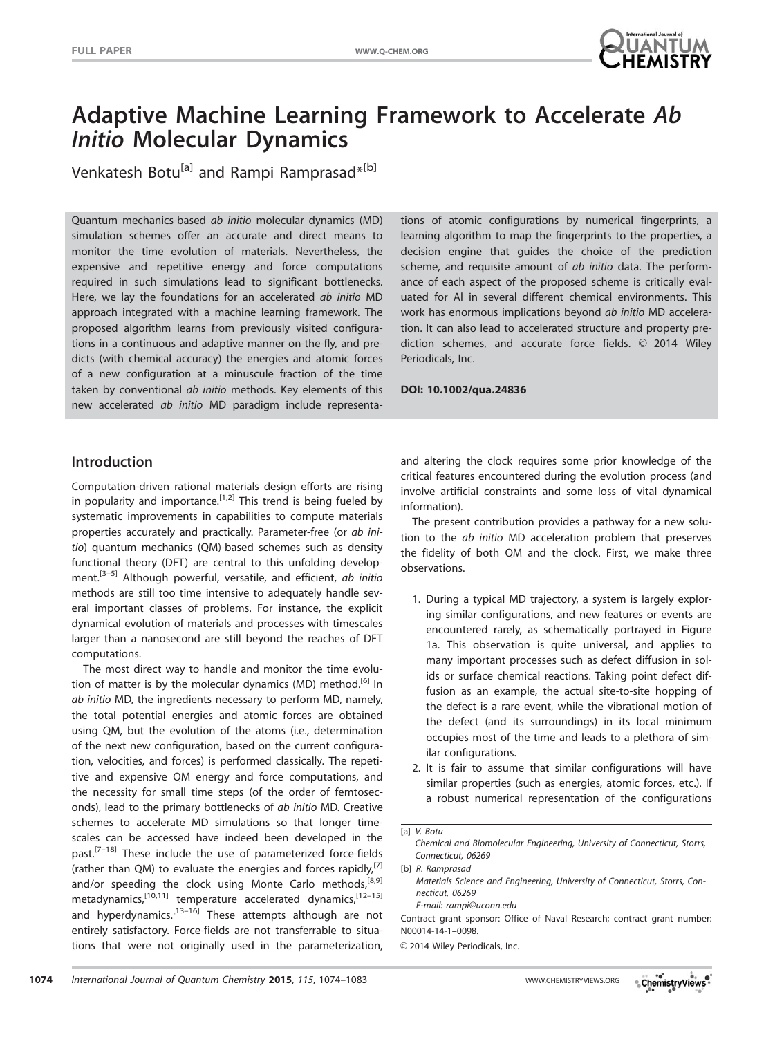

# Adaptive Machine Learning Framework to Accelerate Ab Initio Molecular Dynamics

Venkatesh Botu<sup>[a]</sup> and Rampi Ramprasad\*<sup>[b]</sup>

Quantum mechanics-based ab initio molecular dynamics (MD) simulation schemes offer an accurate and direct means to monitor the time evolution of materials. Nevertheless, the expensive and repetitive energy and force computations required in such simulations lead to significant bottlenecks. Here, we lay the foundations for an accelerated ab initio MD approach integrated with a machine learning framework. The proposed algorithm learns from previously visited configurations in a continuous and adaptive manner on-the-fly, and predicts (with chemical accuracy) the energies and atomic forces of a new configuration at a minuscule fraction of the time taken by conventional ab initio methods. Key elements of this new accelerated ab initio MD paradigm include representations of atomic configurations by numerical fingerprints, a learning algorithm to map the fingerprints to the properties, a decision engine that guides the choice of the prediction scheme, and requisite amount of ab initio data. The performance of each aspect of the proposed scheme is critically evaluated for Al in several different chemical environments. This work has enormous implications beyond ab initio MD acceleration. It can also lead to accelerated structure and property prediction schemes, and accurate force fields.  $\odot$  2014 Wiley Periodicals, Inc.

DOI: 10.1002/qua.24836

# Introduction

Computation-driven rational materials design efforts are rising in popularity and importance.<sup>[1,2]</sup> This trend is being fueled by systematic improvements in capabilities to compute materials properties accurately and practically. Parameter-free (or ab initio) quantum mechanics (QM)-based schemes such as density functional theory (DFT) are central to this unfolding development.<sup>[3-5]</sup> Although powerful, versatile, and efficient, ab initio methods are still too time intensive to adequately handle several important classes of problems. For instance, the explicit dynamical evolution of materials and processes with timescales larger than a nanosecond are still beyond the reaches of DFT computations.

The most direct way to handle and monitor the time evolution of matter is by the molecular dynamics (MD) method.<sup>[6]</sup> In ab initio MD, the ingredients necessary to perform MD, namely, the total potential energies and atomic forces are obtained using QM, but the evolution of the atoms (i.e., determination of the next new configuration, based on the current configuration, velocities, and forces) is performed classically. The repetitive and expensive QM energy and force computations, and the necessity for small time steps (of the order of femtoseconds), lead to the primary bottlenecks of ab initio MD. Creative schemes to accelerate MD simulations so that longer timescales can be accessed have indeed been developed in the past.<sup>[7-18]</sup> These include the use of parameterized force-fields (rather than QM) to evaluate the energies and forces rapidly,  $[7]$ and/or speeding the clock using Monte Carlo methods,<sup>[8,9]</sup> metadynamics, $^{[10,11]}$  temperature accelerated dynamics, $^{[12-15]}$ and hyperdynamics.<sup>[13–16]</sup> These attempts although are not entirely satisfactory. Force-fields are not transferrable to situations that were not originally used in the parameterization, and altering the clock requires some prior knowledge of the critical features encountered during the evolution process (and involve artificial constraints and some loss of vital dynamical information).

The present contribution provides a pathway for a new solution to the ab initio MD acceleration problem that preserves the fidelity of both QM and the clock. First, we make three observations.

- 1. During a typical MD trajectory, a system is largely exploring similar configurations, and new features or events are encountered rarely, as schematically portrayed in Figure 1a. This observation is quite universal, and applies to many important processes such as defect diffusion in solids or surface chemical reactions. Taking point defect diffusion as an example, the actual site-to-site hopping of the defect is a rare event, while the vibrational motion of the defect (and its surroundings) in its local minimum occupies most of the time and leads to a plethora of similar configurations.
- 2. It is fair to assume that similar configurations will have similar properties (such as energies, atomic forces, etc.). If a robust numerical representation of the configurations

[a] V. Botu

Chemical and Biomolecular Engineering, University of Connecticut, Storrs, Connecticut, 06269

[b] R. Ramprasad Materials Science and Engineering, University of Connecticut, Storrs, Connecticut, 06269 E-mail: rampi@uconn.edu

Contract grant sponsor: Office of Naval Research; contract grant number: N00014-14-1–0098.

 $©$  2014 Wiley Periodicals, Inc.

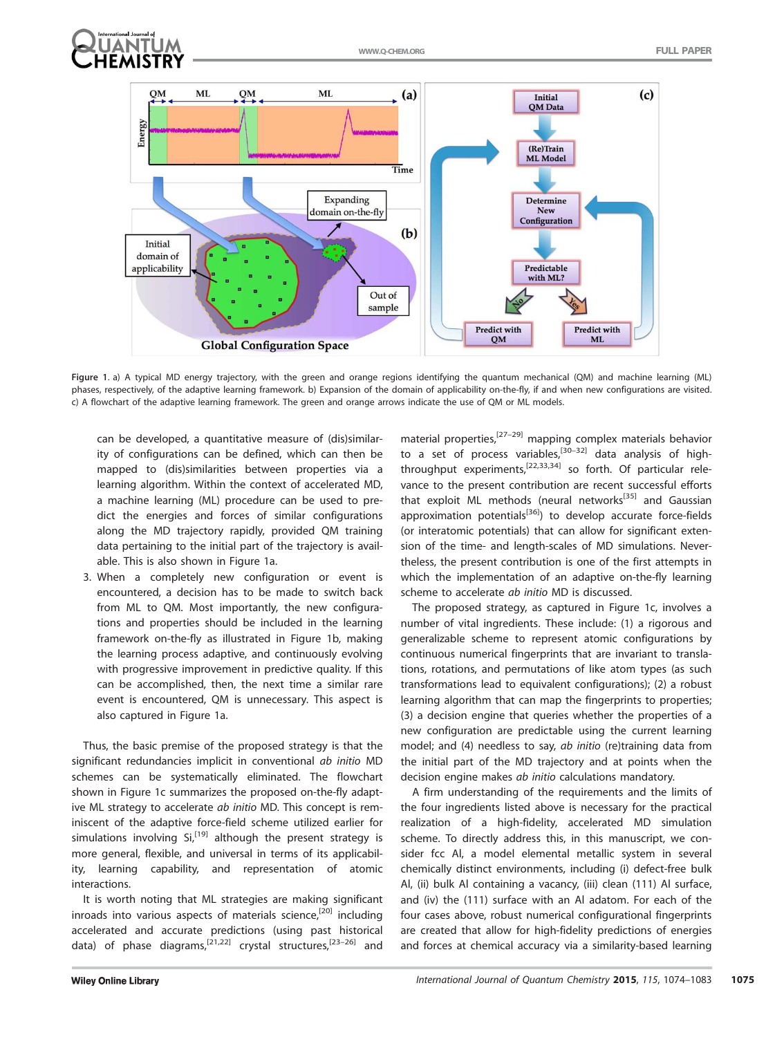



Figure 1. a) A typical MD energy trajectory, with the green and orange regions identifying the quantum mechanical (QM) and machine learning (ML) phases, respectively, of the adaptive learning framework. b) Expansion of the domain of applicability on-the-fly, if and when new configurations are visited. c) A flowchart of the adaptive learning framework. The green and orange arrows indicate the use of QM or ML models.

can be developed, a quantitative measure of (dis)similarity of configurations can be defined, which can then be mapped to (dis)similarities between properties via a learning algorithm. Within the context of accelerated MD, a machine learning (ML) procedure can be used to predict the energies and forces of similar configurations along the MD trajectory rapidly, provided QM training data pertaining to the initial part of the trajectory is available. This is also shown in Figure 1a.

3. When a completely new configuration or event is encountered, a decision has to be made to switch back from ML to QM. Most importantly, the new configurations and properties should be included in the learning framework on-the-fly as illustrated in Figure 1b, making the learning process adaptive, and continuously evolving with progressive improvement in predictive quality. If this can be accomplished, then, the next time a similar rare event is encountered, QM is unnecessary. This aspect is also captured in Figure 1a.

Thus, the basic premise of the proposed strategy is that the significant redundancies implicit in conventional ab initio MD schemes can be systematically eliminated. The flowchart shown in Figure 1c summarizes the proposed on-the-fly adaptive ML strategy to accelerate ab initio MD. This concept is reminiscent of the adaptive force-field scheme utilized earlier for simulations involving  $Si<sub>1</sub><sup>[19]</sup>$  although the present strategy is more general, flexible, and universal in terms of its applicability, learning capability, and representation of atomic interactions.

It is worth noting that ML strategies are making significant inroads into various aspects of materials science,<sup>[20]</sup> including accelerated and accurate predictions (using past historical data) of phase diagrams,<sup>[21,22]</sup> crystal structures,<sup>[23–26]</sup> and material properties,<sup>[27–29]</sup> mapping complex materials behavior to a set of process variables, $[30-32]$  data analysis of highthroughput experiments,<sup>[22,33,34]</sup> so forth. Of particular relevance to the present contribution are recent successful efforts that exploit ML methods (neural networks<sup>[35]</sup> and Gaussian approximation potentials<sup>[36]</sup>) to develop accurate force-fields (or interatomic potentials) that can allow for significant extension of the time- and length-scales of MD simulations. Nevertheless, the present contribution is one of the first attempts in which the implementation of an adaptive on-the-fly learning scheme to accelerate *ab initio* MD is discussed.

The proposed strategy, as captured in Figure 1c, involves a number of vital ingredients. These include: (1) a rigorous and generalizable scheme to represent atomic configurations by continuous numerical fingerprints that are invariant to translations, rotations, and permutations of like atom types (as such transformations lead to equivalent configurations); (2) a robust learning algorithm that can map the fingerprints to properties; (3) a decision engine that queries whether the properties of a new configuration are predictable using the current learning model; and (4) needless to say, ab initio (re)training data from the initial part of the MD trajectory and at points when the decision engine makes ab initio calculations mandatory.

A firm understanding of the requirements and the limits of the four ingredients listed above is necessary for the practical realization of a high-fidelity, accelerated MD simulation scheme. To directly address this, in this manuscript, we consider fcc Al, a model elemental metallic system in several chemically distinct environments, including (i) defect-free bulk Al, (ii) bulk Al containing a vacancy, (iii) clean (111) Al surface, and (iv) the (111) surface with an Al adatom. For each of the four cases above, robust numerical configurational fingerprints are created that allow for high-fidelity predictions of energies and forces at chemical accuracy via a similarity-based learning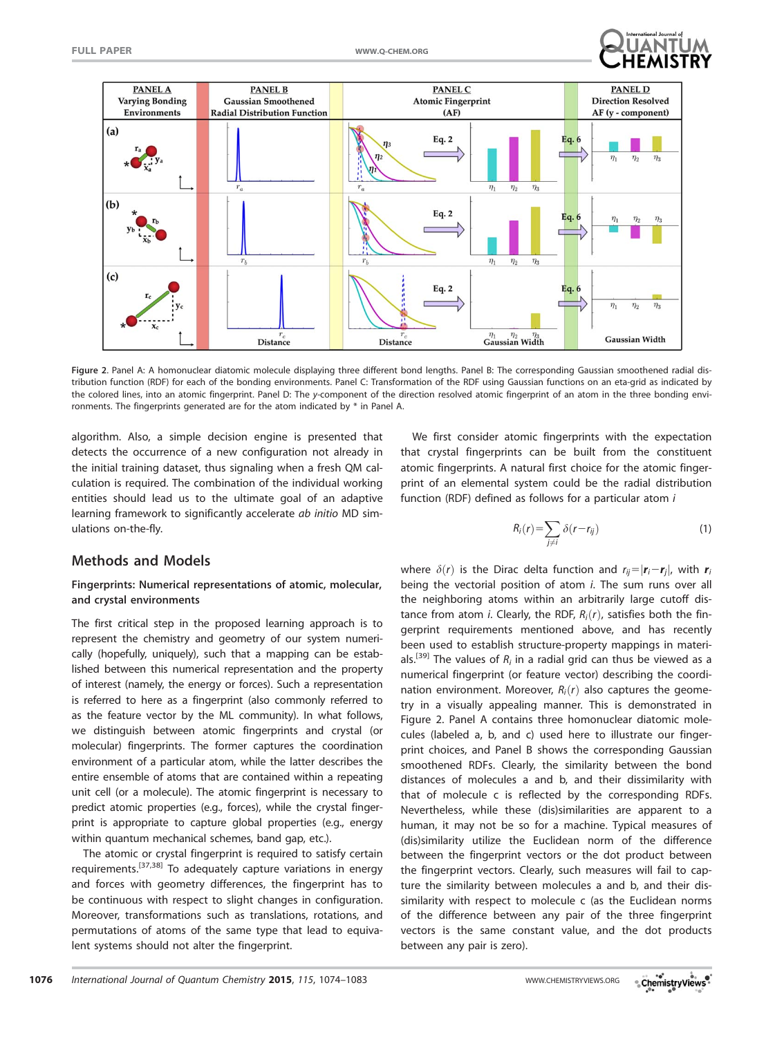



Figure 2. Panel A: A homonuclear diatomic molecule displaying three different bond lengths. Panel B: The corresponding Gaussian smoothened radial distribution function (RDF) for each of the bonding environments. Panel C: Transformation of the RDF using Gaussian functions on an eta-grid as indicated by the colored lines, into an atomic fingerprint. Panel D: The y-component of the direction resolved atomic fingerprint of an atom in the three bonding environments. The fingerprints generated are for the atom indicated by \* in Panel A.

algorithm. Also, a simple decision engine is presented that detects the occurrence of a new configuration not already in the initial training dataset, thus signaling when a fresh QM calculation is required. The combination of the individual working entities should lead us to the ultimate goal of an adaptive learning framework to significantly accelerate ab initio MD simulations on-the-fly.

# We first consider atomic fingerprints with the expectation that crystal fingerprints can be built from the constituent atomic fingerprints. A natural first choice for the atomic fingerprint of an elemental system could be the radial distribution function (RDF) defined as follows for a particular atom i

$$
R_i(r) = \sum_{j \neq i} \delta(r - r_{ij})
$$
 (1)

# Methods and Models

### Fingerprints: Numerical representations of atomic, molecular, and crystal environments

The first critical step in the proposed learning approach is to represent the chemistry and geometry of our system numerically (hopefully, uniquely), such that a mapping can be established between this numerical representation and the property of interest (namely, the energy or forces). Such a representation is referred to here as a fingerprint (also commonly referred to as the feature vector by the ML community). In what follows, we distinguish between atomic fingerprints and crystal (or molecular) fingerprints. The former captures the coordination environment of a particular atom, while the latter describes the entire ensemble of atoms that are contained within a repeating unit cell (or a molecule). The atomic fingerprint is necessary to predict atomic properties (e.g., forces), while the crystal fingerprint is appropriate to capture global properties (e.g., energy within quantum mechanical schemes, band gap, etc.).

The atomic or crystal fingerprint is required to satisfy certain requirements.<sup>[37,38]</sup> To adequately capture variations in energy and forces with geometry differences, the fingerprint has to be continuous with respect to slight changes in configuration. Moreover, transformations such as translations, rotations, and permutations of atoms of the same type that lead to equivalent systems should not alter the fingerprint.

where  $\delta(r)$  is the Dirac delta function and  $r_{ij}=|\mathbf{r}_i-\mathbf{r}_i|$ , with  $\mathbf{r}_i$ being the vectorial position of atom i. The sum runs over all the neighboring atoms within an arbitrarily large cutoff distance from atom i. Clearly, the RDF,  $R_i(r)$ , satisfies both the fingerprint requirements mentioned above, and has recently been used to establish structure-property mappings in materials.<sup>[39]</sup> The values of  $R_i$  in a radial grid can thus be viewed as a numerical fingerprint (or feature vector) describing the coordination environment. Moreover,  $R_i(r)$  also captures the geometry in a visually appealing manner. This is demonstrated in Figure 2. Panel A contains three homonuclear diatomic molecules (labeled a, b, and c) used here to illustrate our fingerprint choices, and Panel B shows the corresponding Gaussian smoothened RDFs. Clearly, the similarity between the bond distances of molecules a and b, and their dissimilarity with that of molecule c is reflected by the corresponding RDFs. Nevertheless, while these (dis)similarities are apparent to a human, it may not be so for a machine. Typical measures of (dis)similarity utilize the Euclidean norm of the difference between the fingerprint vectors or the dot product between the fingerprint vectors. Clearly, such measures will fail to capture the similarity between molecules a and b, and their dissimilarity with respect to molecule c (as the Euclidean norms of the difference between any pair of the three fingerprint vectors is the same constant value, and the dot products between any pair is zero).

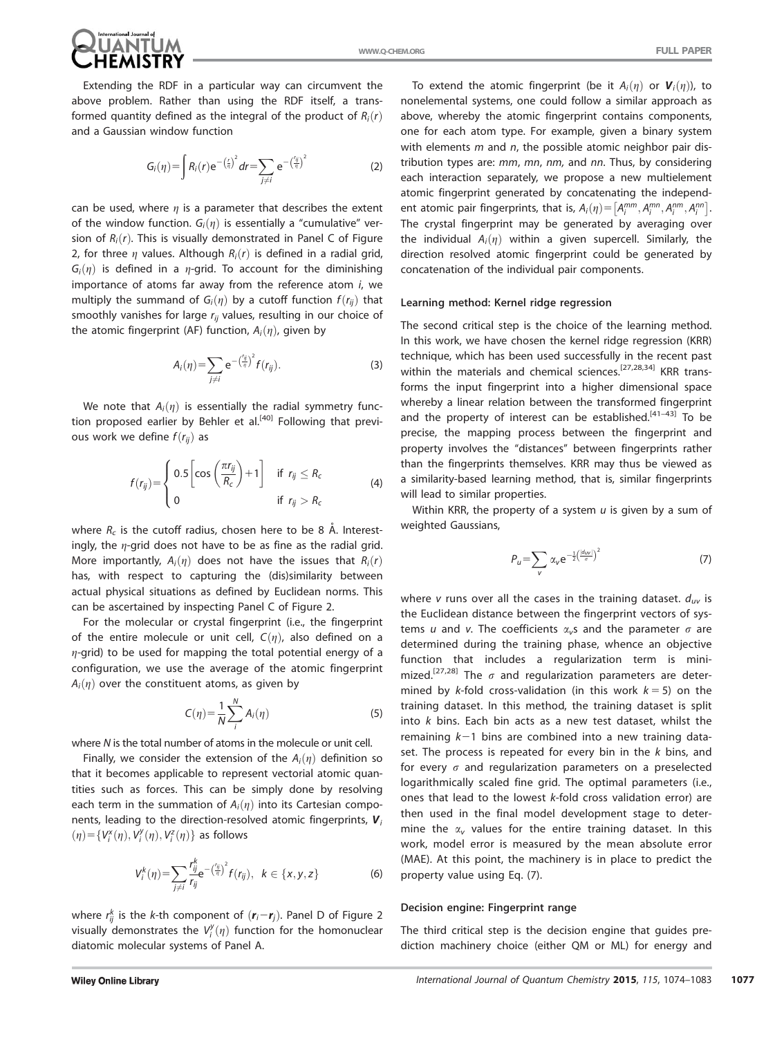

Extending the RDF in a particular way can circumvent the above problem. Rather than using the RDF itself, a transformed quantity defined as the integral of the product of  $R_i(r)$ and a Gaussian window function

$$
G_i(\eta) = \int R_i(r) e^{-\left(\frac{r}{\eta}\right)^2} dr = \sum_{j \neq i} e^{-\left(\frac{r_{ij}}{\eta}\right)^2}
$$
 (2)

can be used, where  $\eta$  is a parameter that describes the extent of the window function.  $G_i(\eta)$  is essentially a "cumulative" version of  $R_i(r)$ . This is visually demonstrated in Panel C of Figure 2, for three  $\eta$  values. Although  $R_i(r)$  is defined in a radial grid,  $G_i(\eta)$  is defined in a  $\eta$ -grid. To account for the diminishing importance of atoms far away from the reference atom i, we multiply the summand of  $G_i(\eta)$  by a cutoff function  $f(r_{ii})$  that smoothly vanishes for large  $r_{ii}$  values, resulting in our choice of the atomic fingerprint (AF) function,  $A_i(\eta)$ , given by

$$
A_i(\eta) = \sum_{j \neq i} e^{-\left(\frac{\eta_j}{\eta}\right)^2} f(r_{ij}). \tag{3}
$$

We note that  $A_i(\eta)$  is essentially the radial symmetry function proposed earlier by Behler et al.<sup>[40]</sup> Following that previous work we define  $f(r_{ii})$  as

$$
f(r_{ij}) = \begin{cases} 0.5 \left[ \cos \left( \frac{\pi r_{ij}}{R_c} \right) + 1 \right] & \text{if } r_{ij} \le R_c \\ 0 & \text{if } r_{ij} > R_c \end{cases}
$$
 (4)

where  $R_c$  is the cutoff radius, chosen here to be 8 Å. Interestingly, the  $\eta$ -grid does not have to be as fine as the radial grid. More importantly,  $A_i(\eta)$  does not have the issues that  $R_i(r)$ has, with respect to capturing the (dis)similarity between actual physical situations as defined by Euclidean norms. This can be ascertained by inspecting Panel C of Figure 2.

For the molecular or crystal fingerprint (i.e., the fingerprint of the entire molecule or unit cell,  $C(\eta)$ , also defined on a  $\eta$ -grid) to be used for mapping the total potential energy of a configuration, we use the average of the atomic fingerprint  $A_i(\eta)$  over the constituent atoms, as given by

$$
C(\eta) = \frac{1}{N} \sum_{i}^{N} A_i(\eta)
$$
 (5)

where N is the total number of atoms in the molecule or unit cell.

Finally, we consider the extension of the  $A_i(\eta)$  definition so that it becomes applicable to represent vectorial atomic quantities such as forces. This can be simply done by resolving each term in the summation of  $A_i(\eta)$  into its Cartesian components, leading to the direction-resolved atomic fingerprints,  $V_i$  $\mathbf{v}(\eta)$ = $\{V_i^x(\eta), V_i^y(\eta), V_i^z(\eta)\}$  as follows

$$
V_i^k(\eta) = \sum_{j \neq i} \frac{r_{ij}^k}{r_{ij}} e^{-\left(\frac{\eta}{\eta}\right)^2} f(r_{ij}), \ \ k \in \{x, y, z\}
$$
 (6)

where  $r_{ij}^k$  is the *k*-th component of  $(\bm{r}_i\!-\!\bm{r}_j)$ . Panel D of Figure 2 visually demonstrates the  $V^y_i(\eta)$  function for the homonuclear diatomic molecular systems of Panel A.

To extend the atomic fingerprint (be it  $A_i(\eta)$  or  $\mathbf{V}_i(\eta)$ ), to nonelemental systems, one could follow a similar approach as above, whereby the atomic fingerprint contains components, one for each atom type. For example, given a binary system with elements  $m$  and  $n$ , the possible atomic neighbor pair distribution types are: mm, mn, nm, and nn. Thus, by considering each interaction separately, we propose a new multielement atomic fingerprint generated by concatenating the independent atomic pair fingerprints, that is,  $A_i(\eta) = [A_i^{mm}, A_i^{mm}, A_i^{nm}, A_i^{nn}]$ . The crystal fingerprint may be generated by averaging over the individual  $A_i(\eta)$  within a given supercell. Similarly, the direction resolved atomic fingerprint could be generated by concatenation of the individual pair components.

#### Learning method: Kernel ridge regression

The second critical step is the choice of the learning method. In this work, we have chosen the kernel ridge regression (KRR) technique, which has been used successfully in the recent past within the materials and chemical sciences.<sup>[27,28,34]</sup> KRR transforms the input fingerprint into a higher dimensional space whereby a linear relation between the transformed fingerprint and the property of interest can be established. $[41-43]$  To be precise, the mapping process between the fingerprint and property involves the "distances" between fingerprints rather than the fingerprints themselves. KRR may thus be viewed as a similarity-based learning method, that is, similar fingerprints will lead to similar properties.

Within KRR, the property of a system  $u$  is given by a sum of weighted Gaussians,

$$
P_u = \sum_{v} \alpha_v e^{-\frac{1}{2} \left(\frac{|d_{uv}|}{\sigma}\right)^2}
$$
 (7)

where v runs over all the cases in the training dataset.  $d_{uv}$  is the Euclidean distance between the fingerprint vectors of systems u and v. The coefficients  $\alpha_{\nu}$ s and the parameter  $\sigma$  are determined during the training phase, whence an objective function that includes a regularization term is minimized.<sup>[27,28]</sup> The  $\sigma$  and regularization parameters are determined by k-fold cross-validation (in this work  $k = 5$ ) on the training dataset. In this method, the training dataset is split into k bins. Each bin acts as a new test dataset, whilst the remaining  $k-1$  bins are combined into a new training dataset. The process is repeated for every bin in the  $k$  bins, and for every  $\sigma$  and regularization parameters on a preselected logarithmically scaled fine grid. The optimal parameters (i.e., ones that lead to the lowest k-fold cross validation error) are then used in the final model development stage to determine the  $\alpha_{v}$  values for the entire training dataset. In this work, model error is measured by the mean absolute error (MAE). At this point, the machinery is in place to predict the property value using Eq. (7).

#### Decision engine: Fingerprint range

The third critical step is the decision engine that guides prediction machinery choice (either QM or ML) for energy and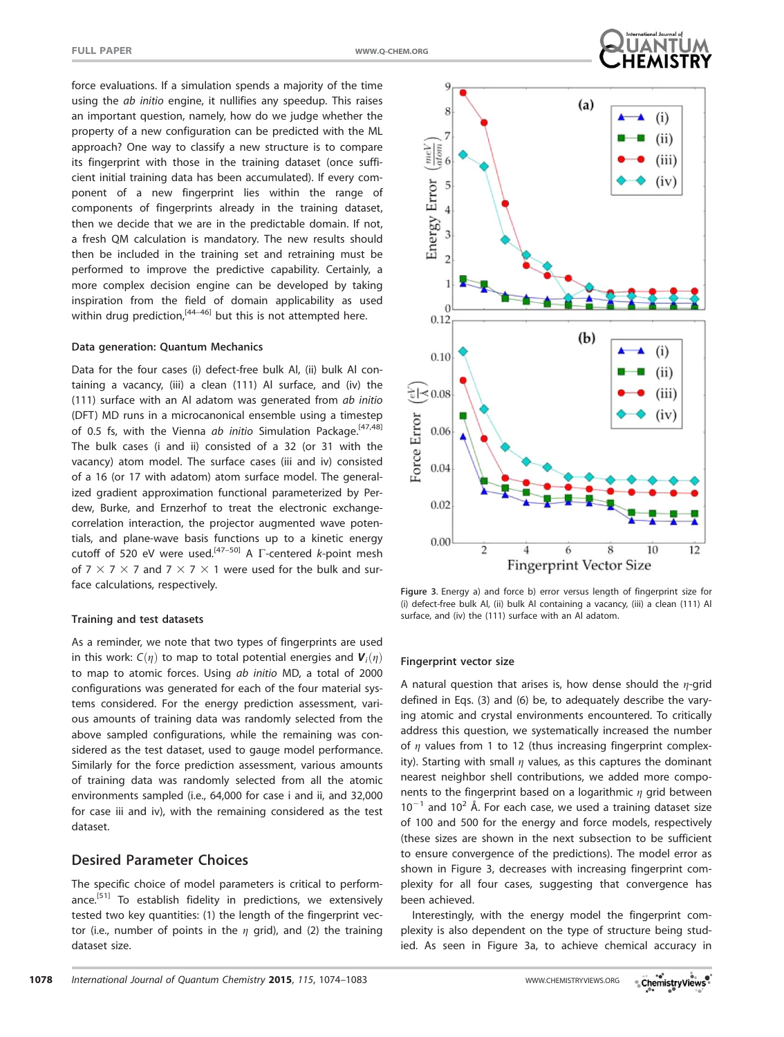force evaluations. If a simulation spends a majority of the time using the ab initio engine, it nullifies any speedup. This raises an important question, namely, how do we judge whether the property of a new configuration can be predicted with the ML approach? One way to classify a new structure is to compare its fingerprint with those in the training dataset (once sufficient initial training data has been accumulated). If every component of a new fingerprint lies within the range of components of fingerprints already in the training dataset, then we decide that we are in the predictable domain. If not, a fresh QM calculation is mandatory. The new results should then be included in the training set and retraining must be performed to improve the predictive capability. Certainly, a more complex decision engine can be developed by taking inspiration from the field of domain applicability as used within drug prediction,  $[44-46]$  but this is not attempted here.

#### Data generation: Quantum Mechanics

Data for the four cases (i) defect-free bulk Al, (ii) bulk Al containing a vacancy, (iii) a clean (111) Al surface, and (iv) the (111) surface with an Al adatom was generated from ab initio (DFT) MD runs in a microcanonical ensemble using a timestep of 0.5 fs, with the Vienna ab initio Simulation Package.<sup>[47,48]</sup> The bulk cases (i and ii) consisted of a 32 (or 31 with the vacancy) atom model. The surface cases (iii and iv) consisted of a 16 (or 17 with adatom) atom surface model. The generalized gradient approximation functional parameterized by Perdew, Burke, and Ernzerhof to treat the electronic exchangecorrelation interaction, the projector augmented wave potentials, and plane-wave basis functions up to a kinetic energy cutoff of 520 eV were used.<sup>[47-50]</sup> A  $\Gamma$ -centered k-point mesh of 7  $\times$  7  $\times$  7 and 7  $\times$  7  $\times$  1 were used for the bulk and surface calculations, respectively.

#### Training and test datasets

As a reminder, we note that two types of fingerprints are used in this work:  $C(\eta)$  to map to total potential energies and  $\mathbf{V}_i(\eta)$ to map to atomic forces. Using ab initio MD, a total of 2000 configurations was generated for each of the four material systems considered. For the energy prediction assessment, various amounts of training data was randomly selected from the above sampled configurations, while the remaining was considered as the test dataset, used to gauge model performance. Similarly for the force prediction assessment, various amounts of training data was randomly selected from all the atomic environments sampled (i.e., 64,000 for case i and ii, and 32,000 for case iii and iv), with the remaining considered as the test dataset.

#### Desired Parameter Choices

The specific choice of model parameters is critical to performance.<sup>[51]</sup> To establish fidelity in predictions, we extensively tested two key quantities: (1) the length of the fingerprint vector (i.e., number of points in the  $\eta$  grid), and (2) the training dataset size.



Figure 3. Energy a) and force b) error versus length of fingerprint size for (i) defect-free bulk Al, (ii) bulk Al containing a vacancy, (iii) a clean (111) Al surface, and (iv) the (111) surface with an Al adatom.

#### Fingerprint vector size

A natural question that arises is, how dense should the  $\eta$ -grid defined in Eqs. (3) and (6) be, to adequately describe the varying atomic and crystal environments encountered. To critically address this question, we systematically increased the number of  $\eta$  values from 1 to 12 (thus increasing fingerprint complexity). Starting with small  $\eta$  values, as this captures the dominant nearest neighbor shell contributions, we added more components to the fingerprint based on a logarithmic  $\eta$  grid between  $10^{-1}$  and  $10^{2}$  Å. For each case, we used a training dataset size of 100 and 500 for the energy and force models, respectively (these sizes are shown in the next subsection to be sufficient to ensure convergence of the predictions). The model error as shown in Figure 3, decreases with increasing fingerprint complexity for all four cases, suggesting that convergence has been achieved.

Interestingly, with the energy model the fingerprint complexity is also dependent on the type of structure being studied. As seen in Figure 3a, to achieve chemical accuracy in

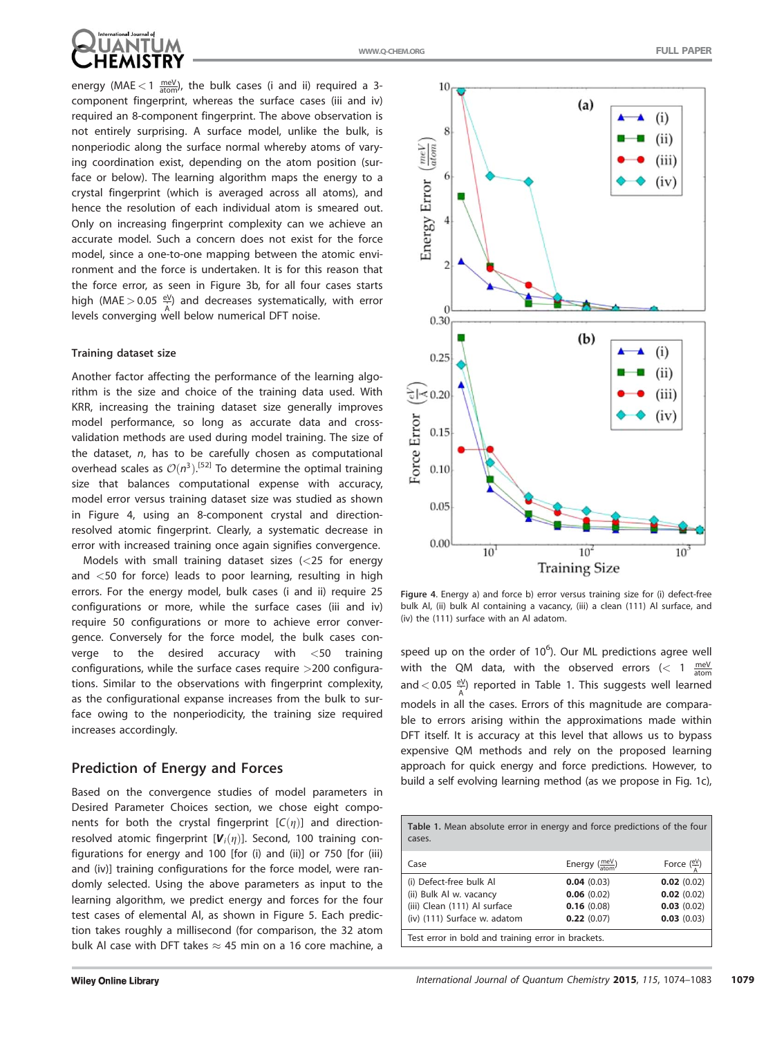

energy (MAE  $<$  1  $\frac{\text{meV}}{\text{atom}}$ ), the bulk cases (i and ii) required a 3component fingerprint, whereas the surface cases (iii and iv) required an 8-component fingerprint. The above observation is not entirely surprising. A surface model, unlike the bulk, is nonperiodic along the surface normal whereby atoms of varying coordination exist, depending on the atom position (surface or below). The learning algorithm maps the energy to a crystal fingerprint (which is averaged across all atoms), and hence the resolution of each individual atom is smeared out. Only on increasing fingerprint complexity can we achieve an accurate model. Such a concern does not exist for the force model, since a one-to-one mapping between the atomic environment and the force is undertaken. It is for this reason that the force error, as seen in Figure 3b, for all four cases starts high (MAE  $>$  0.05  $\frac{eV}{\dot{h}}$ ) and decreases systematically, with error A levels converging well below numerical DFT noise.

#### Training dataset size

Another factor affecting the performance of the learning algorithm is the size and choice of the training data used. With KRR, increasing the training dataset size generally improves model performance, so long as accurate data and crossvalidation methods are used during model training. The size of the dataset, n, has to be carefully chosen as computational overhead scales as  $\mathcal{O}(n^3)$ .<sup>[52]</sup> To determine the optimal training size that balances computational expense with accuracy, model error versus training dataset size was studied as shown in Figure 4, using an 8-component crystal and directionresolved atomic fingerprint. Clearly, a systematic decrease in error with increased training once again signifies convergence.

Models with small training dataset sizes (<25 for energy and <50 for force) leads to poor learning, resulting in high errors. For the energy model, bulk cases (i and ii) require 25 configurations or more, while the surface cases (iii and iv) require 50 configurations or more to achieve error convergence. Conversely for the force model, the bulk cases converge to the desired accuracy with <50 training configurations, while the surface cases require >200 configurations. Similar to the observations with fingerprint complexity, as the configurational expanse increases from the bulk to surface owing to the nonperiodicity, the training size required increases accordingly.

# Prediction of Energy and Forces

Based on the convergence studies of model parameters in Desired Parameter Choices section, we chose eight components for both the crystal fingerprint  $[C(\eta)]$  and directionresolved atomic fingerprint  $[V_i(\eta)]$ . Second, 100 training configurations for energy and 100 [for (i) and (ii)] or 750 [for (iii) and (iv)] training configurations for the force model, were randomly selected. Using the above parameters as input to the learning algorithm, we predict energy and forces for the four test cases of elemental Al, as shown in Figure 5. Each prediction takes roughly a millisecond (for comparison, the 32 atom bulk Al case with DFT takes  $\approx$  45 min on a 16 core machine, a



Figure 4. Energy a) and force b) error versus training size for (i) defect-free bulk Al, (ii) bulk Al containing a vacancy, (iii) a clean (111) Al surface, and (iv) the (111) surface with an Al adatom.

speed up on the order of  $10^6$ ). Our ML predictions agree well with the QM data, with the observed errors  $\zeta$  atom and  $<$  0.05  $\frac{eV}{A}$ ) reported in Table 1. This suggests well learned models in all the cases. Errors of this magnitude are comparable to errors arising within the approximations made within DFT itself. It is accuracy at this level that allows us to bypass expensive QM methods and rely on the proposed learning approach for quick energy and force predictions. However, to build a self evolving learning method (as we propose in Fig. 1c),

| Table 1. Mean absolute error in energy and force predictions of the four<br>cases.                                 |                                                      |                                                      |
|--------------------------------------------------------------------------------------------------------------------|------------------------------------------------------|------------------------------------------------------|
| Case                                                                                                               | Energy $\frac{\text{meV}}{\text{atom}}$              | Force $(\frac{eV}{e})$                               |
| (i) Defect-free bulk Al<br>(ii) Bulk Al w. vacancy<br>(iii) Clean (111) Al surface<br>(iv) (111) Surface w. adatom | 0.04(0.03)<br>0.06(0.02)<br>0.16(0.08)<br>0.22(0.07) | 0.02(0.02)<br>0.02(0.02)<br>0.03(0.02)<br>0.03(0.03) |
| Test error in bold and training error in brackets.                                                                 |                                                      |                                                      |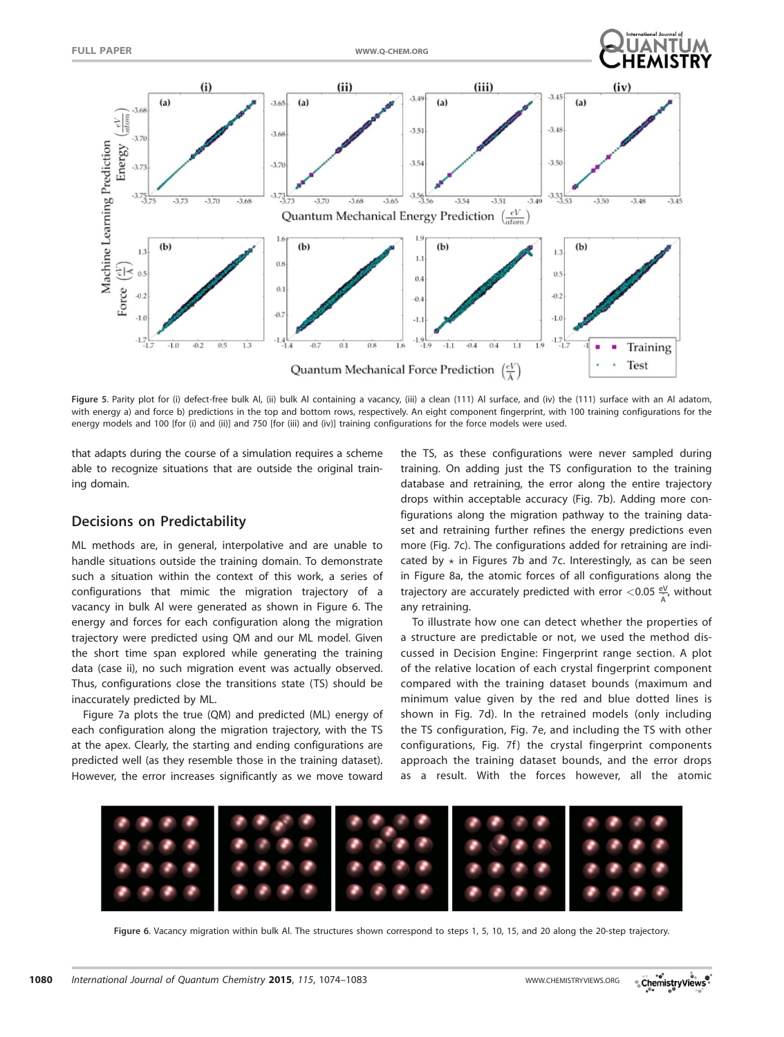



Figure 5. Parity plot for (i) defect-free bulk Al, (ii) bulk Al containing a vacancy, (iii) a clean (111) Al surface, and (iv) the (111) surface with an Al adatom, with energy a) and force b) predictions in the top and bottom rows, respectively. An eight component fingerprint, with 100 training configurations for the energy models and 100 [for (i) and (ii)] and 750 [for (iii) and (iv)] training configurations for the force models were used.

that adapts during the course of a simulation requires a scheme able to recognize situations that are outside the original training domain.

# Decisions on Predictability

ML methods are, in general, interpolative and are unable to handle situations outside the training domain. To demonstrate such a situation within the context of this work, a series of configurations that mimic the migration trajectory of a vacancy in bulk Al were generated as shown in Figure 6. The energy and forces for each configuration along the migration trajectory were predicted using QM and our ML model. Given the short time span explored while generating the training data (case ii), no such migration event was actually observed. Thus, configurations close the transitions state (TS) should be inaccurately predicted by ML.

Figure 7a plots the true (QM) and predicted (ML) energy of each configuration along the migration trajectory, with the TS at the apex. Clearly, the starting and ending configurations are predicted well (as they resemble those in the training dataset). However, the error increases significantly as we move toward the TS, as these configurations were never sampled during training. On adding just the TS configuration to the training database and retraining, the error along the entire trajectory drops within acceptable accuracy (Fig. 7b). Adding more configurations along the migration pathway to the training dataset and retraining further refines the energy predictions even more (Fig. 7c). The configurations added for retraining are indicated by  $\star$  in Figures 7b and 7c. Interestingly, as can be seen in Figure 8a, the atomic forces of all configurations along the trajectory are accurately predicted with error  $<$  0.05  $\frac{eV}{A}$ , without any retraining.

To illustrate how one can detect whether the properties of a structure are predictable or not, we used the method discussed in Decision Engine: Fingerprint range section. A plot of the relative location of each crystal fingerprint component compared with the training dataset bounds (maximum and minimum value given by the red and blue dotted lines is shown in Fig. 7d). In the retrained models (only including the TS configuration, Fig. 7e, and including the TS with other configurations, Fig. 7f) the crystal fingerprint components approach the training dataset bounds, and the error drops as a result. With the forces however, all the atomic



Figure 6. Vacancy migration within bulk Al. The structures shown correspond to steps 1, 5, 10, 15, and 20 along the 20-step trajectory.

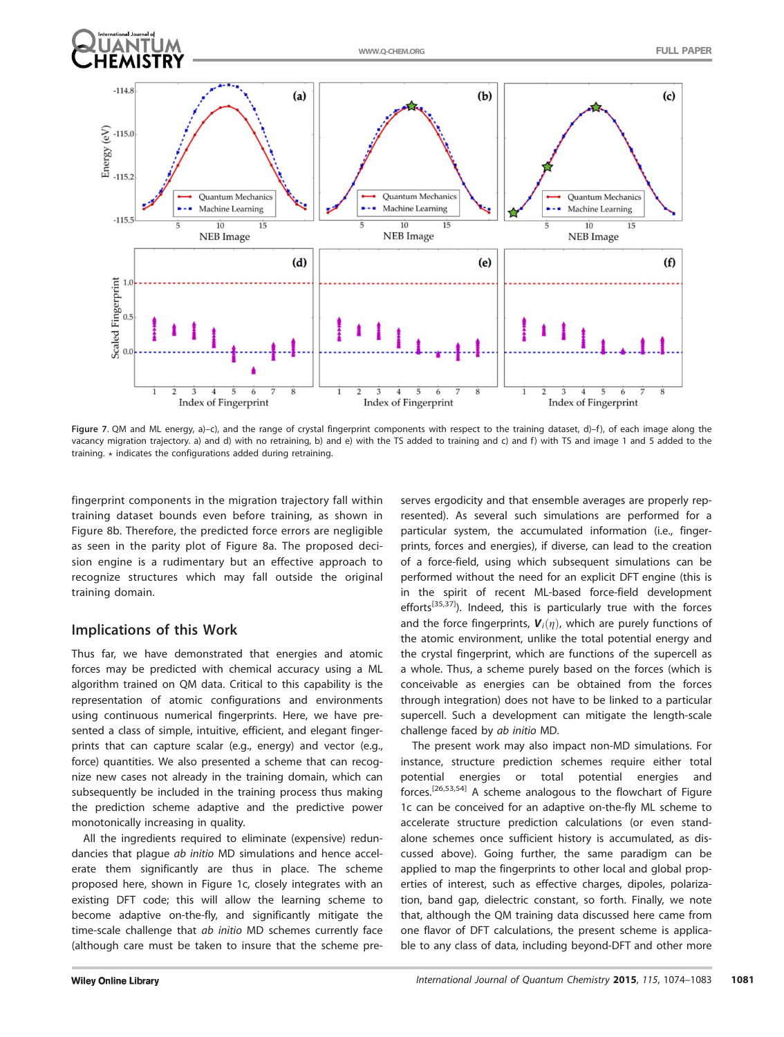

Figure 7. QM and ML energy, a)–c), and the range of crystal fingerprint components with respect to the training dataset, d)–f), of each image along the vacancy migration trajectory. a) and d) with no retraining, b) and e) with the TS added to training and c) and f) with TS and image 1 and 5 added to the training.  $\star$  indicates the configurations added during retraining.

fingerprint components in the migration trajectory fall within training dataset bounds even before training, as shown in Figure 8b. Therefore, the predicted force errors are negligible as seen in the parity plot of Figure 8a. The proposed decision engine is a rudimentary but an effective approach to recognize structures which may fall outside the original training domain.

# Implications of this Work

Thus far, we have demonstrated that energies and atomic forces may be predicted with chemical accuracy using a ML algorithm trained on QM data. Critical to this capability is the representation of atomic configurations and environments using continuous numerical fingerprints. Here, we have presented a class of simple, intuitive, efficient, and elegant fingerprints that can capture scalar (e.g., energy) and vector (e.g., force) quantities. We also presented a scheme that can recognize new cases not already in the training domain, which can subsequently be included in the training process thus making the prediction scheme adaptive and the predictive power monotonically increasing in quality.

All the ingredients required to eliminate (expensive) redundancies that plague ab initio MD simulations and hence accelerate them significantly are thus in place. The scheme proposed here, shown in Figure 1c, closely integrates with an existing DFT code; this will allow the learning scheme to become adaptive on-the-fly, and significantly mitigate the time-scale challenge that ab initio MD schemes currently face (although care must be taken to insure that the scheme preserves ergodicity and that ensemble averages are properly represented). As several such simulations are performed for a particular system, the accumulated information (i.e., fingerprints, forces and energies), if diverse, can lead to the creation of a force-field, using which subsequent simulations can be performed without the need for an explicit DFT engine (this is in the spirit of recent ML-based force-field development efforts<sup>[35,37]</sup>). Indeed, this is particularly true with the forces and the force fingerprints,  $V_i(\eta)$ , which are purely functions of the atomic environment, unlike the total potential energy and the crystal fingerprint, which are functions of the supercell as a whole. Thus, a scheme purely based on the forces (which is conceivable as energies can be obtained from the forces through integration) does not have to be linked to a particular supercell. Such a development can mitigate the length-scale challenge faced by ab initio MD.

The present work may also impact non-MD simulations. For instance, structure prediction schemes require either total potential energies or total potential energies and forces.[26,53,54] A scheme analogous to the flowchart of Figure 1c can be conceived for an adaptive on-the-fly ML scheme to accelerate structure prediction calculations (or even standalone schemes once sufficient history is accumulated, as discussed above). Going further, the same paradigm can be applied to map the fingerprints to other local and global properties of interest, such as effective charges, dipoles, polarization, band gap, dielectric constant, so forth. Finally, we note that, although the QM training data discussed here came from one flavor of DFT calculations, the present scheme is applicable to any class of data, including beyond-DFT and other more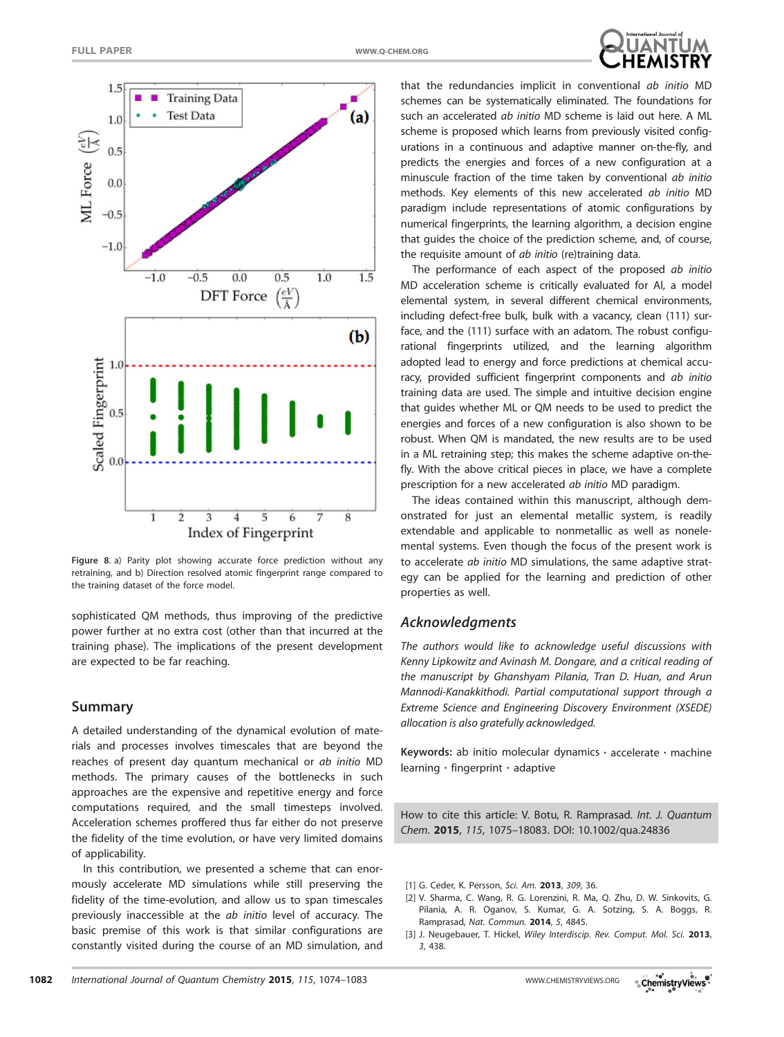



Figure 8. a) Parity plot showing accurate force prediction without any retraining, and b) Direction resolved atomic fingerprint range compared to the training dataset of the force model.

sophisticated QM methods, thus improving of the predictive power further at no extra cost (other than that incurred at the training phase). The implications of the present development are expected to be far reaching.

# Summary

A detailed understanding of the dynamical evolution of materials and processes involves timescales that are beyond the reaches of present day quantum mechanical or ab initio MD methods. The primary causes of the bottlenecks in such approaches are the expensive and repetitive energy and force computations required, and the small timesteps involved. Acceleration schemes proffered thus far either do not preserve the fidelity of the time evolution, or have very limited domains of applicability.

In this contribution, we presented a scheme that can enormously accelerate MD simulations while still preserving the fidelity of the time-evolution, and allow us to span timescales previously inaccessible at the ab initio level of accuracy. The basic premise of this work is that similar configurations are constantly visited during the course of an MD simulation, and that the redundancies implicit in conventional ab initio MD schemes can be systematically eliminated. The foundations for such an accelerated *ab initio* MD scheme is laid out here. A ML scheme is proposed which learns from previously visited configurations in a continuous and adaptive manner on-the-fly, and predicts the energies and forces of a new configuration at a minuscule fraction of the time taken by conventional ab initio methods. Key elements of this new accelerated ab initio MD paradigm include representations of atomic configurations by numerical fingerprints, the learning algorithm, a decision engine that guides the choice of the prediction scheme, and, of course, the requisite amount of *ab initio* (re)training data.

The performance of each aspect of the proposed ab initio MD acceleration scheme is critically evaluated for Al, a model elemental system, in several different chemical environments, including defect-free bulk, bulk with a vacancy, clean (111) surface, and the (111) surface with an adatom. The robust configurational fingerprints utilized, and the learning algorithm adopted lead to energy and force predictions at chemical accuracy, provided sufficient fingerprint components and ab initio training data are used. The simple and intuitive decision engine that guides whether ML or QM needs to be used to predict the energies and forces of a new configuration is also shown to be robust. When QM is mandated, the new results are to be used in a ML retraining step; this makes the scheme adaptive on-thefly. With the above critical pieces in place, we have a complete prescription for a new accelerated ab initio MD paradigm.

The ideas contained within this manuscript, although demonstrated for just an elemental metallic system, is readily extendable and applicable to nonmetallic as well as nonelemental systems. Even though the focus of the present work is to accelerate ab initio MD simulations, the same adaptive strategy can be applied for the learning and prediction of other properties as well.

## Acknowledgments

The authors would like to acknowledge useful discussions with Kenny Lipkowitz and Avinash M. Dongare, and a critical reading of the manuscript by Ghanshyam Pilania, Tran D. Huan, and Arun Mannodi-Kanakkithodi. Partial computational support through a Extreme Science and Engineering Discovery Environment (XSEDE) allocation is also gratefully acknowledged.

Keywords: ab initio molecular dynamics  $\cdot$  accelerate  $\cdot$  machine learning  $\cdot$  fingerprint  $\cdot$  adaptive

How to cite this article: V. Botu, R. Ramprasad. Int. J. Quantum Chem. 2015, 115, 1075–18083. DOI: [10.1002/qua.24836](info:doi/10.1002/qua.24836)

- [1] G. Ceder, K. Persson, Sci. Am. 2013, 309, 36.
- [2] V. Sharma, C. Wang, R. G. Lorenzini, R. Ma, Q. Zhu, D. W. Sinkovits, G. Pilania, A. R. Oganov, S. Kumar, G. A. Sotzing, S. A. Boggs, R. Ramprasad, Nat. Commun. 2014, 5, 4845.
- [3] J. Neugebauer, T. Hickel, Wiley Interdiscip. Rev. Comput. Mol. Sci. 2013, 3, 438.